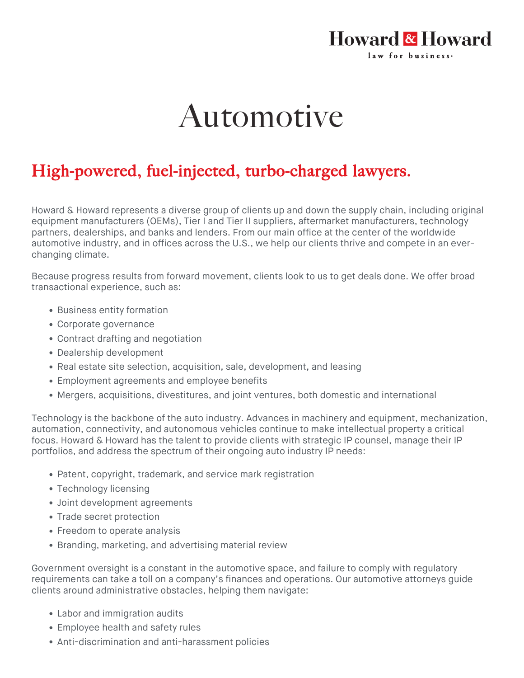## Howard & Howard law for business.

## Automotive

## High-powered, fuel-injected, turbo-charged lawyers.

Howard & Howard represents a diverse group of clients up and down the supply chain, including original equipment manufacturers (OEMs), Tier I and Tier II suppliers, aftermarket manufacturers, technology partners, dealerships, and banks and lenders. From our main office at the center of the worldwide automotive industry, and in offices across the U.S., we help our clients thrive and compete in an everchanging climate.

Because progress results from forward movement, clients look to us to get deals done. We offer broad transactional experience, such as:

- Business entity formation
- Corporate governance
- Contract drafting and negotiation
- Dealership development
- Real estate site selection, acquisition, sale, development, and leasing
- Employment agreements and employee benefits
- Mergers, acquisitions, divestitures, and joint ventures, both domestic and international

Technology is the backbone of the auto industry. Advances in machinery and equipment, mechanization, automation, connectivity, and autonomous vehicles continue to make intellectual property a critical focus. Howard & Howard has the talent to provide clients with strategic IP counsel, manage their IP portfolios, and address the spectrum of their ongoing auto industry IP needs:

- Patent, copyright, trademark, and service mark registration
- Technology licensing
- Joint development agreements
- Trade secret protection
- Freedom to operate analysis
- Branding, marketing, and advertising material review

Government oversight is a constant in the automotive space, and failure to comply with regulatory requirements can take a toll on a company's finances and operations. Our automotive attorneys guide clients around administrative obstacles, helping them navigate:

- Labor and immigration audits
- Employee health and safety rules
- Anti-discrimination and anti-harassment policies